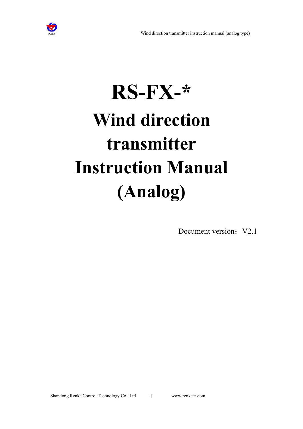



# **RS-FX-\* Wind direction transmitter Instruction Manual (Analog)**

Document version: V2.1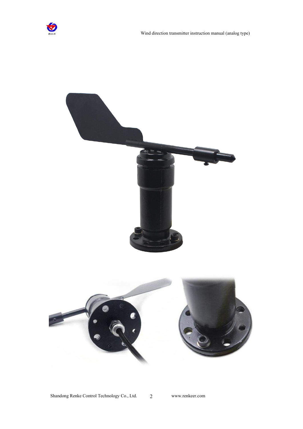

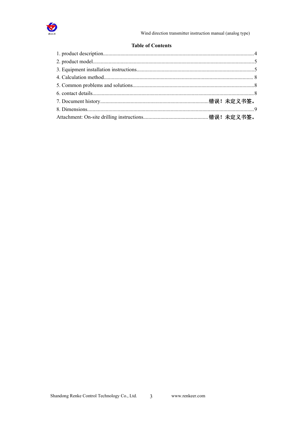

#### **Table of Contents**

<span id="page-2-0"></span>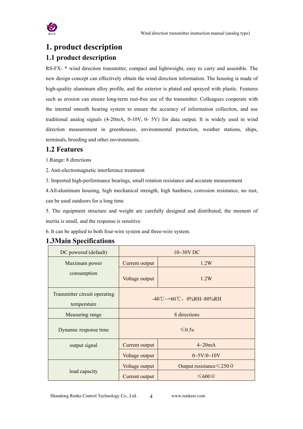

## **1. product description**

#### **1.1 product description**

RS-FX- \* wind direction transmitter, compact and lightweight, easy to carry and assemble. The new design concept can effectively obtain the wind direction information. The housing is made of high-quality aluminum alloy profile, and the exterior is plated and sprayed with plastic. Features such as erosion can ensure long-term rust-free use of the transmitter. Colleagues cooperate with the internal smooth bearing system to ensure the accuracy of information collection, and use traditional analog signals (4-20mA, 0-10V, 0- 5V) for data output. It is widely used in wind direction measurement in greenhouses, environmental protection, weather stations, ships, terminals, breeding and other environments.

#### **1.2 Features**

1.Range: 8 directions

2. Anti-electromagnetic interference treatment

3. Imported high-performance bearings, small rotation resistance and accurate measurement

4.All-aluminum housing, high mechanical strength, high hardness, corrosion resistance, no rust, can be used outdoors for a long time

5. The equipment structure and weight are carefully designed and distributed, the moment of inertia is small, and the response is sensitive

6. It can be applied to both four-wire system and three-wire system.

## DC powered (default) 10~30V DC Maximum power consumption Current output 1.2W Voltage output 1.2W Transmitter circuit operating temperature -40℃~+60℃,0%RH~80%RH Measuring range and the state of the state of the state of the state of the state of the state of the state of the state of the state of the state of the state of the state of the state of the state of the state of the sta Dynamic response time  $\leq 0.5s$ output signal Current output  $\vert$  4~20mA Voltage output  $0 \sim 5V/0 \sim 10V$ load capacity Voltage output  $\vert$  Output resistance  $\leq$  250 Ω Current output  $\leq 600 \Omega$

#### **1.3Main Specifications**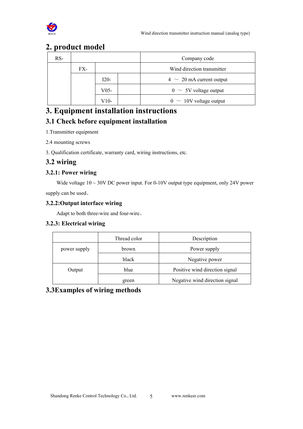

## <span id="page-4-0"></span>**2. product model**

| $RS-$ |     |                 | Company code                  |
|-------|-----|-----------------|-------------------------------|
|       | FX- |                 | Wind direction transmitter    |
|       |     | $I20-$          | $4 \sim 20$ mA current output |
|       |     | V <sub>05</sub> | $0 \sim 5V$ voltage output    |
|       |     | $V10-$          | $0 \sim 10V$ voltage output   |

## <span id="page-4-1"></span>**3. Equipment installation instructions**

#### **3.1 Check before equipment installation**

1.Transmitter equipment

2.4 mounting screws

3. Qualification certificate, warranty card, wiring instructions, etc.

#### **3.2 wiring**

#### **3.2.1: Power wiring**

Wide voltage  $10 \sim 30V$  DC power input. For 0-10V output type equipment, only 24V power supply can be used。

#### **3.2.2:Output interface wiring**

Adapt to both three-wire and four-wire。

#### **3.2.3: Electrical wiring**

|              | Thread color | Description                    |
|--------------|--------------|--------------------------------|
| power supply | brown        | Power supply                   |
|              | black        | Negative power                 |
| Output       | blue         | Positive wind direction signal |
|              | green        | Negative wind direction signal |

#### **3.3Examples** of wiring methods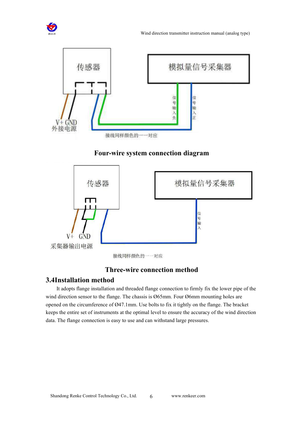







接线同样颜色的一一对应

#### **Three-wire connection method**

#### **3.4Installation method**

It adopts flange installation and threaded flange connection to firmly fix the lower pipe of the wind direction sensor to the flange. The chassis is Ø65mm. Four Ø6mm mounting holes are opened on the circumference of Ø47.1mm. Use bolts to fix it tightly on the flange. The bracket keeps the entire set of instruments at the optimal level to ensure the accuracy of the wind direction data. The flange connection is easy to use and can withstand large pressures.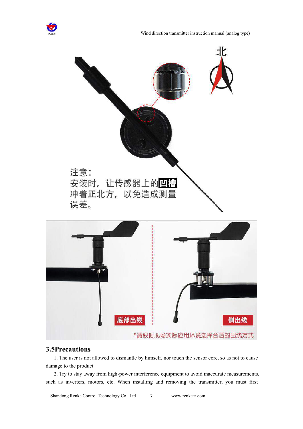



#### **3.5Precautions**

1. The user is not allowed to dismantle by himself, nor touch the sensor core, so as not to cause damage to the product.

2. Try to stay away from high-power interference equipment to avoid inaccurate measurements, such as inverters, motors, etc. When installing and removing the transmitter, you must first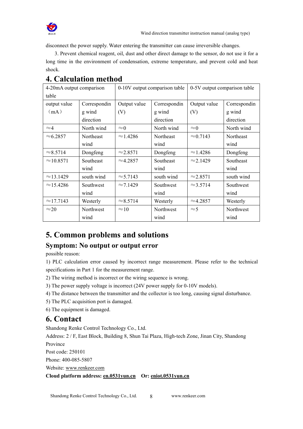

disconnect the power supply. Water entering the transmitter can cause irreversible changes.

3. Prevent chemical reagent, oil, dust and other direct damage to the sensor, do not use it for a long time in the environment of condensation, extreme temperature, and prevent cold and heat shock.

|                   | 4-20mA output comparison |                  | 0-10V output comparison table |                  | 0-5V output comparison table |  |
|-------------------|--------------------------|------------------|-------------------------------|------------------|------------------------------|--|
| table             |                          |                  |                               |                  |                              |  |
| output value      | Correspondin             | Output value     | Correspondin                  | Output value     | Correspondin                 |  |
| (mA)              | g wind                   | (V)              | g wind                        | (V)              | g wind                       |  |
|                   | direction                |                  | direction                     |                  | direction                    |  |
| $\approx$ 4       | North wind               | $\approx$ 0      | North wind                    | $\approx 0$      | North wind                   |  |
| $\approx 6.2857$  | Northeast                | $\approx$ 1.4286 | Northeast                     | $\approx 0.7143$ | Northeast                    |  |
|                   | wind                     |                  | wind                          |                  | wind                         |  |
| $\approx 8.5714$  | Dongfeng                 | $\approx$ 2.8571 | Dongfeng                      | $\approx$ 1.4286 | Dongfeng                     |  |
| $\approx$ 10.8571 | Southeast                | $\approx$ 4.2857 | Southeast                     | $\approx$ 2.1429 | Southeast                    |  |
|                   | wind                     |                  | wind                          |                  | wind                         |  |
| $\approx$ 13.1429 | south wind               | $\approx$ 5.7143 | south wind                    | $\approx$ 2.8571 | south wind                   |  |
| $\approx$ 15.4286 | Southwest                | $\approx$ 7.1429 | Southwest                     | $\approx$ 3.5714 | Southwest                    |  |
|                   | wind                     |                  | wind                          |                  | wind                         |  |
| $\approx$ 17.7143 | Westerly                 | $\approx 8.5714$ | Westerly                      | $\approx$ 4.2857 | Westerly                     |  |
| $\approx$ 20      | Northwest                | $\approx$ 10     | Northwest                     | $\approx$ 5      | Northwest                    |  |
|                   | wind                     |                  | wind                          |                  | wind                         |  |

## <span id="page-7-0"></span>**4. Calculation method**

## <span id="page-7-1"></span>**5. Common problems and solutions**

### **Symptom: No output or output error**

<span id="page-7-2"></span>possible reason:

1) PLC calculation error caused by incorrect range measurement. Please refer to the technical specifications in Part 1 for the measurement range.

- 2) The wiring method is incorrect or the wiring sequence is wrong.
- 3) The power supply voltage is incorrect (24V power supply for 0-10V models).
- 4) The distance between the transmitter and the collector is too long, causing signal disturbance.
- 5) The PLC acquisition port is damaged.
- 6) The equipment is damaged.

## **6. Contact**

Shandong Renke Control Technology Co., Ltd.

Address: 2 / F, East Block, Building 8, Shun Tai Plaza, High-tech Zone, Jinan City, Shandong

Province

Post code: 250101

Phone: 400-085-5807

Website: www.renkeer.com

**Cloud platform address: en.0531yun.cn Or: eniot.0531yun.cn**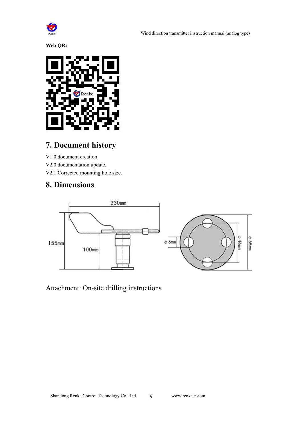

<span id="page-8-0"></span>**Web QR:**



## **7. Document history**

- V1.0 document creation.
- V2.0 documentation update.
- V2.1 Corrected mounting hole size.

## **8. Dimensions**



Attachment: On-site drilling instructions